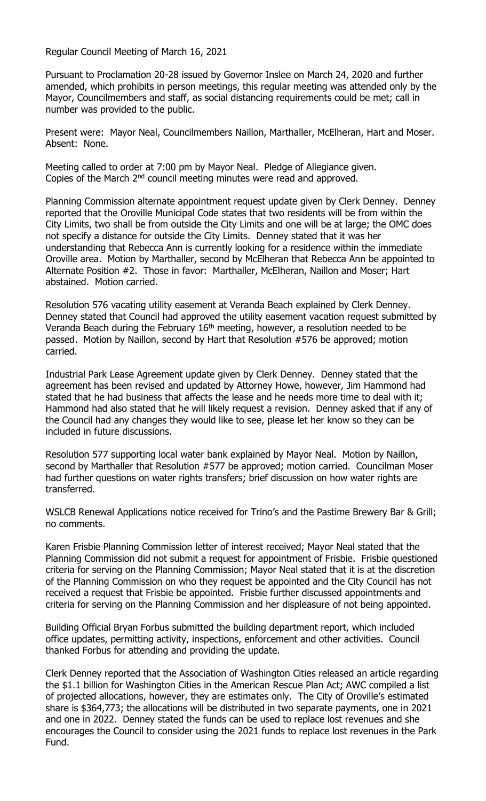Regular Council Meeting of March 16, 2021

Pursuant to Proclamation 20-28 issued by Governor Inslee on March 24, 2020 and further amended, which prohibits in person meetings, this regular meeting was attended only by the Mayor, Councilmembers and staff, as social distancing requirements could be met; call in number was provided to the public.

Present were: Mayor Neal, Councilmembers Naillon, Marthaller, McElheran, Hart and Moser. Absent: None.

Meeting called to order at 7:00 pm by Mayor Neal. Pledge of Allegiance given. Copies of the March 2<sup>nd</sup> council meeting minutes were read and approved.

Planning Commission alternate appointment request update given by Clerk Denney. Denney reported that the Oroville Municipal Code states that two residents will be from within the City Limits, two shall be from outside the City Limits and one will be at large; the OMC does not specify a distance for outside the City Limits. Denney stated that it was her understanding that Rebecca Ann is currently looking for a residence within the immediate Oroville area. Motion by Marthaller, second by McElheran that Rebecca Ann be appointed to Alternate Position #2. Those in favor: Marthaller, McElheran, Naillon and Moser; Hart abstained. Motion carried.

Resolution 576 vacating utility easement at Veranda Beach explained by Clerk Denney. Denney stated that Council had approved the utility easement vacation request submitted by Veranda Beach during the February  $16<sup>th</sup>$  meeting, however, a resolution needed to be passed. Motion by Naillon, second by Hart that Resolution #576 be approved; motion carried.

Industrial Park Lease Agreement update given by Clerk Denney. Denney stated that the agreement has been revised and updated by Attorney Howe, however, Jim Hammond had stated that he had business that affects the lease and he needs more time to deal with it; Hammond had also stated that he will likely request a revision. Denney asked that if any of the Council had any changes they would like to see, please let her know so they can be included in future discussions.

Resolution 577 supporting local water bank explained by Mayor Neal. Motion by Naillon, second by Marthaller that Resolution #577 be approved; motion carried. Councilman Moser had further questions on water rights transfers; brief discussion on how water rights are transferred.

WSLCB Renewal Applications notice received for Trino's and the Pastime Brewery Bar & Grill; no comments.

Karen Frisbie Planning Commission letter of interest received; Mayor Neal stated that the Planning Commission did not submit a request for appointment of Frisbie. Frisbie questioned criteria for serving on the Planning Commission; Mayor Neal stated that it is at the discretion of the Planning Commission on who they request be appointed and the City Council has not received a request that Frisbie be appointed. Frisbie further discussed appointments and criteria for serving on the Planning Commission and her displeasure of not being appointed.

Building Official Bryan Forbus submitted the building department report, which included office updates, permitting activity, inspections, enforcement and other activities. Council thanked Forbus for attending and providing the update.

Clerk Denney reported that the Association of Washington Cities released an article regarding the \$1.1 billion for Washington Cities in the American Rescue Plan Act; AWC compiled a list of projected allocations, however, they are estimates only. The City of Oroville's estimated share is \$364,773; the allocations will be distributed in two separate payments, one in 2021 and one in 2022. Denney stated the funds can be used to replace lost revenues and she encourages the Council to consider using the 2021 funds to replace lost revenues in the Park Fund.